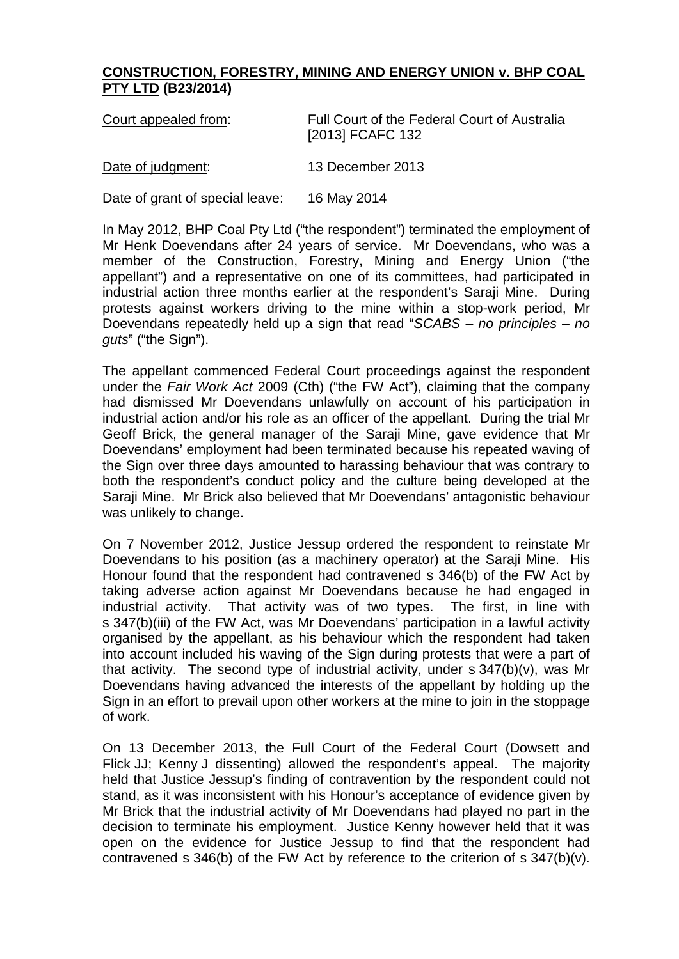## **CONSTRUCTION, FORESTRY, MINING AND ENERGY UNION v. BHP COAL PTY LTD (B23/2014)**

| Court appealed from:            | Full Court of the Federal Court of Australia<br>[2013] FCAFC 132 |
|---------------------------------|------------------------------------------------------------------|
| Date of judgment:               | 13 December 2013                                                 |
| Date of grant of special leave: | 16 May 2014                                                      |

In May 2012, BHP Coal Pty Ltd ("the respondent") terminated the employment of Mr Henk Doevendans after 24 years of service. Mr Doevendans, who was a member of the Construction, Forestry, Mining and Energy Union ("the appellant") and a representative on one of its committees, had participated in industrial action three months earlier at the respondent's Saraji Mine. During protests against workers driving to the mine within a stop-work period, Mr Doevendans repeatedly held up a sign that read "*SCABS – no principles – no guts*" ("the Sign").

The appellant commenced Federal Court proceedings against the respondent under the *Fair Work Act* 2009 (Cth) ("the FW Act"), claiming that the company had dismissed Mr Doevendans unlawfully on account of his participation in industrial action and/or his role as an officer of the appellant. During the trial Mr Geoff Brick, the general manager of the Saraji Mine, gave evidence that Mr Doevendans' employment had been terminated because his repeated waving of the Sign over three days amounted to harassing behaviour that was contrary to both the respondent's conduct policy and the culture being developed at the Saraji Mine. Mr Brick also believed that Mr Doevendans' antagonistic behaviour was unlikely to change.

On 7 November 2012, Justice Jessup ordered the respondent to reinstate Mr Doevendans to his position (as a machinery operator) at the Saraji Mine. His Honour found that the respondent had contravened s 346(b) of the FW Act by taking adverse action against Mr Doevendans because he had engaged in industrial activity. That activity was of two types. The first, in line with s 347(b)(iii) of the FW Act, was Mr Doevendans' participation in a lawful activity organised by the appellant, as his behaviour which the respondent had taken into account included his waving of the Sign during protests that were a part of that activity. The second type of industrial activity, under s 347(b)(v), was Mr Doevendans having advanced the interests of the appellant by holding up the Sign in an effort to prevail upon other workers at the mine to join in the stoppage of work.

On 13 December 2013, the Full Court of the Federal Court (Dowsett and Flick JJ; Kenny J dissenting) allowed the respondent's appeal. The majority held that Justice Jessup's finding of contravention by the respondent could not stand, as it was inconsistent with his Honour's acceptance of evidence given by Mr Brick that the industrial activity of Mr Doevendans had played no part in the decision to terminate his employment. Justice Kenny however held that it was open on the evidence for Justice Jessup to find that the respondent had contravened s 346(b) of the FW Act by reference to the criterion of s 347(b)(v).